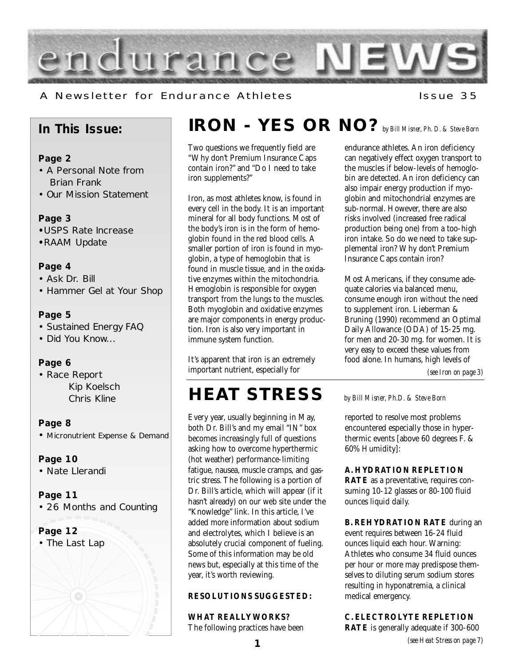

A Newsletter for Endurance Athletes The Muslem 195

### **In This Issue:**

### **Page 2**

- A Personal Note from Brian Frank
- Our Mission Statement

### **Page 3**

- **•**USPS Rate Increase
- **•**RAAM Update

### **Page 4**

- Ask Dr. Bill
- Hammer Gel at Your Shop

### **Page 5**

- Sustained Energy FAQ
- Did You Know...

### **Page 6**

• Race Report Kip Koelsch Chris Kline

### **Page 8**

• Micronutrient Expense & Demand

### **Page 10**

• Nate Llerandi

### **Page 11**

• 26 Months and Counting

### **Page 12**

• The Last Lap

# **IRON - YES OR NO?***by Bill Misner, Ph. D. & Steve Born*

Two questions we frequently field are "Why don't Premium Insurance Caps contain iron?" and "Do I need to take iron supplements?"

Iron, as most athletes know, is found in every cell in the body. It is an important mineral for all body functions. Most of the body's iron is in the form of hemoglobin found in the red blood cells. A smaller portion of iron is found in myoglobin, a type of hemoglobin that is found in muscle tissue, and in the oxidative enzymes within the mitochondria. Hemoglobin is responsible for oxygen transport from the lungs to the muscles. Both myoglobin and oxidative enzymes are major components in energy production. Iron is also very important in immune system function.

It's apparent that iron is an extremely important nutrient, especially for

### **HEAT STRESS** *by Bill Misner, Ph.D. & Steve Born*

Every year, usually beginning in May, both Dr. Bill's and my email "IN" box becomes increasingly full of questions asking how to overcome hyperthermic (hot weather) performance-limiting fatigue, nausea, muscle cramps, and gastric stress. The following is a portion of Dr. Bill's article, which will appear (if it hasn't already) on our web site under the "Knowledge" link. In this article, I've added more information about sodium and electrolytes, which I believe is an absolutely crucial component of fueling. Some of this information may be old news but, especially at this time of the year, it's worth reviewing.

### **RESOLUTIONS SUGGESTED:**

### **WHAT REALLY WORKS?**

The following practices have been

endurance athletes. An iron deficiency can negatively effect oxygen transport to the muscles if below-levels of hemoglobin are detected. An iron deficiency can also impair energy production if myoglobin and mitochondrial enzymes are sub-normal. However, there are also risks involved (increased free radical production being one) from a too-high iron intake. So do we need to take supplemental iron? Why don't Premium Insurance Caps contain iron?

Most Americans, if they consume adequate calories via balanced menu, consume enough iron without the need to supplement iron. Lieberman & Bruning (1990) recommend an Optimal Daily Allowance (ODA) of 15-25 mg. for men and 20-30 mg. for women. It is very easy to exceed these values from food alone. In humans, high levels of

*(see Iron on page 3)*

reported to resolve most problems encountered especially those in hyperthermic events [above 60 degrees F. & 60% Humidity]:

#### **A. HYDRATION REPLETION**

**RATE** as a preventative, requires consuming 10-12 glasses or 80-100 fluid ounces liquid daily.

**B. REHYDRATION RATE** during an event requires between 16-24 fluid ounces liquid each hour. Warning: Athletes who consume 34 fluid ounces per hour or more may predispose themselves to diluting serum sodium stores resulting in hyponatremia, a clinical medical emergency.

**C. ELECTROLYTE REPLETION RATE** is generally adequate if 300-600

*(see Heat Stress on page 7)*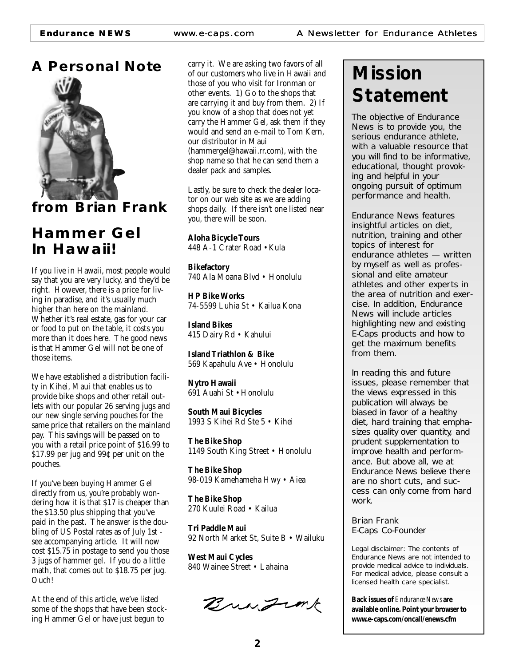**Endurance NEWS** www.e-caps.com A Newsletter for Endurance Athletes





**from Brian Frank**

### **Hammer Gel In Hawaii!**

If you live in Hawaii, most people would say that you are very lucky, and they'd be right. However, there is a price for living in paradise, and it's usually much higher than here on the mainland. Whether it's real estate, gas for your car or food to put on the table, it costs you more than it does here. The good news is that Hammer Gel will not be one of those items.

We have established a distribution facility in Kihei, Maui that enables us to provide bike shops and other retail outlets with our popular 26 serving jugs and our new single serving pouches for the same price that retailers on the mainland pay. This savings will be passed on to you with a retail price point of \$16.99 to  $$17.99$  per jug and  $99c$  per unit on the pouches.

If you've been buying Hammer Gel directly from us, you're probably wondering how it is that \$17 is cheaper than the \$13.50 plus shipping that you've paid in the past. The answer is the doubling of US Postal rates as of July 1st see accompanying article. It will now cost \$15.75 in postage to send you those 3 jugs of hammer gel. If you do a little math, that comes out to \$18.75 per jug. Ouch!

At the end of this article, we've listed some of the shops that have been stocking Hammer Gel or have just begun to

carry it. We are asking two favors of all of our customers who live in Hawaii and those of you who visit for Ironman or other events. 1) Go to the shops that are carrying it and buy from them. 2) If you know of a shop that does not yet carry the Hammer Gel, ask them if they would and send an e-mail to Tom Kern, our distributor in Maui (hammergel@hawaii.rr.com), with the shop name so that he can send them a dealer pack and samples.

Lastly, be sure to check the dealer locator on our web site as we are adding shops daily. If there isn't one listed near you, there will be soon.

**Aloha Bicycle Tours** 448 A-1 Crater Road • Kula

**Bikefactory** 740 Ala Moana Blvd • Honolulu

**HP Bike Works** 74-5599 Luhia St • Kailua Kona

**Island Bikes** 415 Dairy Rd • Kahului

**Island Triathlon & Bike** 569 Kapahulu Ave • Honolulu

**Nytro Hawaii** 691 Auahi St • Honolulu

**South Maui Bicycles** 1993 S Kihei Rd Ste 5 • Kihei

**The Bike Shop** 1149 South King Street • Honolulu

**The Bike Shop** 98-019 Kamehameha Hwy • Aiea

**The Bike Shop** 270 Kuulei Road • Kailua

**Tri Paddle Maui** 92 North Market St, Suite B • Wailuku

**West Maui Cycles** 840 Wainee Street • Lahaina

Bringink

# **Mission Statement**

*The objective of Endurance News is to provide you, the serious endurance athlete, with a valuable resource that you will find to be informative, educational, thought provoking and helpful in your ongoing pursuit of optimum performance and health.*

*Endurance News features insightful articles on diet, nutrition, training and other topics of interest for endurance athletes — written by myself as well as professional and elite amateur athletes and other experts in the area of nutrition and exercise. In addition, Endurance News will include articles highlighting new and existing E-Caps products and how to get the maximum benefits from them.* 

*In reading this and future issues, please remember that the views expressed in this publication will always be biased in favor of a healthy diet, hard training that emphasizes quality over quantity, and prudent supplementation to improve health and performance. But above all, we at Endurance News believe there are no short cuts, and success can only come from hard work.*

*Brian Frank E-Caps Co-Founder*

Legal disclaimer: The contents of Endurance News are not intended to provide medical advice to individuals. For medical advice, please consult a licensed health care specialist.

**Back issues of** *Endurance News* **are available online. Point your browser to www.e-caps.com/oncall/enews.cfm**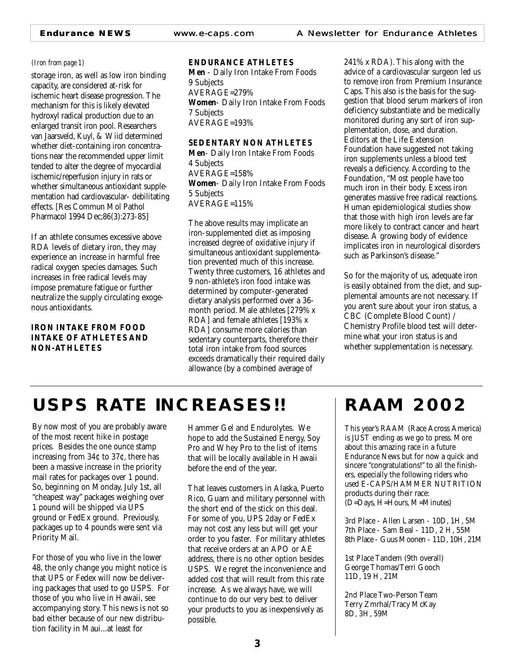storage iron, as well as low iron binding capacity, are considered at-risk for ischemic heart disease progression. The mechanism for this is likely elevated hydroxyl radical production due to an enlarged transit iron pool. Researchers van Jaarsveld, Kuyl, & Wiid determined whether diet-containing iron concentrations near the recommended upper limit tended to alter the degree of myocardial ischemic/reperfusion injury in rats or whether simultaneous antioxidant supplementation had cardiovascular- debilitating effects. [Res Commun Mol Pathol Pharmacol 1994 Dec;86(3):273-85]

If an athlete consumes excessive above RDA levels of dietary iron, they may experience an increase in harmful free radical oxygen species damages. Such increases in free radical levels may impose premature fatigue or further neutralize the supply circulating exogenous antioxidants.

### **IRON INTAKE FROM FOOD INTAKE OF ATHLETES AND NON-ATHLETES**

### *(Iron from page 1)* **ENDURANCE ATHLETES**

**Men** - Daily Iron Intake From Foods 9 Subjects AVERAGE=279% **Women**- Daily Iron Intake From Foods 7 Subjects AVERAGE=193%

**SEDENTARY NON ATHLETES Men**- Daily Iron Intake From Foods 4 Subjects AVERAGE=158% **Women**- Daily Iron Intake From Foods 5 Subjects AVERAGE=115%

The above results may implicate an iron-supplemented diet as imposing increased degree of oxidative injury if simultaneous antioxidant supplementation prevented much of this increase. Twenty three customers, 16 athletes and 9 non-athlete's iron food intake was determined by computer-generated dietary analysis performed over a 36 month period. Male athletes [279% x RDA] and female athletes [193% x RDA] consume more calories than sedentary counterparts, therefore their total iron intake from food sources exceeds dramatically their required daily allowance (by a combined average of

241% x RDA). This along with the advice of a cardiovascular surgeon led us to remove iron from Premium Insurance Caps. This also is the basis for the suggestion that blood serum markers of iron deficiency substantiate and be medically monitored during any sort of iron supplementation, dose, and duration. Editors at the Life Extension Foundation have suggested not taking iron supplements unless a blood test reveals a deficiency. According to the Foundation, "Most people have too much iron in their body. Excess iron generates massive free radical reactions. Human epidemiological studies show that those with high iron levels are far more likely to contract cancer and heart disease. A growing body of evidence implicates iron in neurological disorders such as Parkinson's disease."

So for the majority of us, adequate iron is easily obtained from the diet, and supplemental amounts are not necessary. If you aren't sure about your iron status, a CBC (Complete Blood Count) / Chemistry Profile blood test will determine what your iron status is and whether supplementation is necessary.

## **USPS RATE INCREASES!! RAAM 2002**

By now most of you are probably aware of the most recent hike in postage prices. Besides the one ounce stamp increasing from 34¢ to 37¢, there has been a massive increase in the priority mail rates for packages over 1 pound. So, beginning on Monday, July 1st, all "cheapest way" packages weighing over 1 pound will be shipped via UPS ground or FedEx ground. Previously, packages up to 4 pounds were sent via Priority Mail.

For those of you who live in the lower 48, the only change you might notice is that UPS or Fedex will now be delivering packages that used to go USPS. For those of you who live in Hawaii, see accompanying story. This news is not so bad either because of our new distribution facility in Maui...at least for

Hammer Gel and Endurolytes. We hope to add the Sustained Energy, Soy Pro and Whey Pro to the list of items that will be locally available in Hawaii before the end of the year.

That leaves customers in Alaska, Puerto Rico, Guam and military personnel with the short end of the stick on this deal. For some of you, UPS 2day or FedEx may not cost any less but will get your order to you faster. For military athletes that receive orders at an APO or AE address, there is no other option besides USPS. We regret the inconvenience and added cost that will result from this rate increase. As we always have, we will continue to do our very best to deliver your products to you as inexpensively as possible.

This year's RAAM (Race Across America) is JUST ending as we go to press. More about this amazing race in a future Endurance News but for now a quick and sincere "congratulations!" to all the finishers, especially the following riders who used E-CAPS/HAMMER NUTRITION products during their race: (D=Days, H=Hours, M=Minutes)

3rd Place - Allen Larsen - 10D, 1H, 5M 7th Place - Sam Beal - 11D, 2 H, 55M 8th Place - Guus Moonen - 11D, 10H, 21M

1st Place Tandem (9th overall) George Thomas/Terri Gooch 11D, 19 H, 21M

2nd Place Two-Person Team Terry Zmrhal/Tracy McKay 8D, 3H, 59M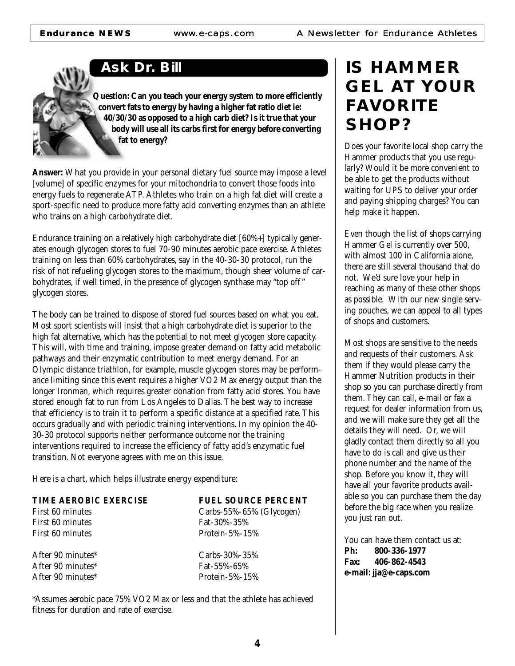**Ask Dr. Bill**

**Question: Can you teach your energy system to more efficiently convert fats to energy by having a higher fat ratio diet ie: 40/30/30 as opposed to a high carb diet? Is it true that your body will use all its carbs first for energy before converting fat to energy?**

**Answer:** What you provide in your personal dietary fuel source may impose a level [volume] of specific enzymes for your mitochondria to convert those foods into energy fuels to regenerate ATP. Athletes who train on a high fat diet will create a sport-specific need to produce more fatty acid converting enzymes than an athlete who trains on a high carbohydrate diet.

Endurance training on a relatively high carbohydrate diet [60%+] typically generates enough glycogen stores to fuel 70-90 minutes aerobic pace exercise. Athletes training on less than 60% carbohydrates, say in the 40-30-30 protocol, run the risk of not refueling glycogen stores to the maximum, though sheer volume of carbohydrates, if well timed, in the presence of glycogen synthase may "top off " glycogen stores.

The body can be trained to dispose of stored fuel sources based on what you eat. Most sport scientists will insist that a high carbohydrate diet is superior to the high fat alternative, which has the potential to not meet glycogen store capacity. This will, with time and training, impose greater demand on fatty acid metabolic pathways and their enzymatic contribution to meet energy demand. For an Olympic distance triathlon, for example, muscle glycogen stores may be performance limiting since this event requires a higher VO2 Max energy output than the longer Ironman, which requires greater donation from fatty acid stores. You have stored enough fat to run from Los Angeles to Dallas. The best way to increase that efficiency is to train it to perform a specific distance at a specified rate. This occurs gradually and with periodic training interventions. In my opinion the 40- 30-30 protocol supports neither performance outcome nor the training interventions required to increase the efficiency of fatty acid's enzymatic fuel transition. Not everyone agrees with me on this issue.

Here is a chart, which helps illustrate energy expenditure:

| <b>TIME AEROBIC EXERCISE</b>  | <b>FUEL SOURCE PERCENT</b> |
|-------------------------------|----------------------------|
| First 60 minutes              | Carbs-55%-65% (Glycogen)   |
| First 60 minutes              | Fat-30%-35%                |
| First 60 minutes              | Protein- $5\%$ -15 $\%$    |
| After 90 minutes*             | Carbs-30%-35%              |
| After 90 minutes <sup>*</sup> | Fat-55%-65%                |
| After 90 minutes <sup>*</sup> | Protein- $5\%$ -15 $\%$    |
|                               |                            |

\*Assumes aerobic pace 75% VO2 Max or less and that the athlete has achieved fitness for duration and rate of exercise.

### **IS HAMMER GEL AT YOUR FAVORITE SHOP?**

Does your favorite local shop carry the Hammer products that you use regularly? Would it be more convenient to be able to get the products without waiting for UPS to deliver your order and paying shipping charges? You can help make it happen.

Even though the list of shops carrying Hammer Gel is currently over 500, with almost 100 in California alone, there are still several thousand that do not. We'd sure love your help in reaching as many of these other shops as possible. With our new single serving pouches, we can appeal to all types of shops and customers.

Most shops are sensitive to the needs and requests of their customers. Ask them if they would please carry the Hammer Nutrition products in their shop so you can purchase directly from them. They can call, e-mail or fax a request for dealer information from us, and we will make sure they get all the details they will need. Or, we will gladly contact them directly so all you have to do is call and give us their phone number and the name of the shop. Before you know it, they will have all your favorite products available so you can purchase them the day before the big race when you realize you just ran out.

You can have them contact us at:<br>**Ph:** 800-336-1977 **Ph: 800-336-1977 Fax: 406-862-4543 e-mail: jja@e-caps.com**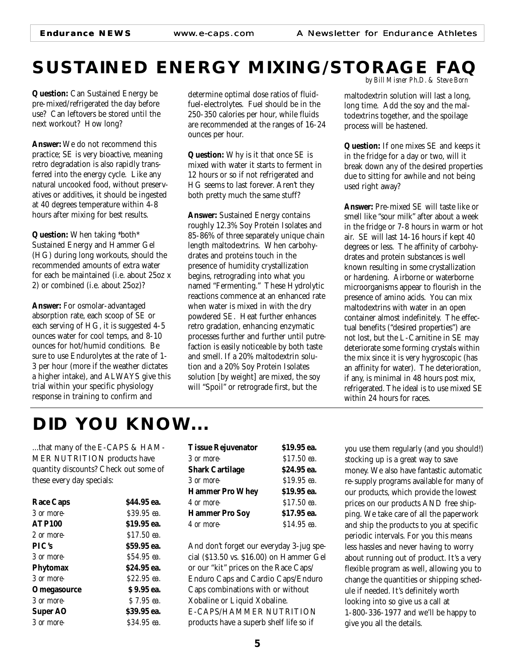# **SUSTAINED ENERGY MIXING/STORAGE FAQ**

**Question:** Can Sustained Energy be pre-mixed/refrigerated the day before use? Can leftovers be stored until the next workout? How long?

**Answer:** We do not recommend this practice; SE is very bioactive, meaning retro degradation is also rapidly transferred into the energy cycle. Like any natural uncooked food, without preservatives or additives, it should be ingested at 40 degrees temperature within 4-8 hours after mixing for best results.

**Question:** When taking \*both\* Sustained Energy and Hammer Gel (HG) during long workouts, should the recommended amounts of extra water for each be maintained (i.e. about 25oz x 2) or combined (i.e. about 25oz)?

**Answer:** For osmolar-advantaged absorption rate, each scoop of SE or each serving of HG, it is suggested 4-5 ounces water for cool temps, and 8-10 ounces for hot/humid conditions. Be sure to use Endurolytes at the rate of 1- 3 per hour (more if the weather dictates a higher intake), and ALWAYS give this trial within your specific physiology response in training to confirm and

determine optimal dose ratios of fluidfuel-electrolytes. Fuel should be in the 250-350 calories per hour, while fluids are recommended at the ranges of 16-24 ounces per hour.

**Question:** Why is it that once SE is mixed with water it starts to ferment in 12 hours or so if not refrigerated and HG seems to last forever. Aren't they both pretty much the same stuff?

**Answer:** Sustained Energy contains roughly 12.3% Soy Protein Isolates and 85-86% of three separately unique chain length maltodextrins. When carbohydrates and proteins touch in the presence of humidity crystallization begins, retrograding into what you named "Fermenting." These Hydrolytic reactions commence at an enhanced rate when water is mixed in with the dry powdered SE. Heat further enhances retro gradation, enhancing enzymatic processes further and further until putrefaction is easily noticeable by both taste and smell. If a 20% maltodextrin solution and a 20% Soy Protein Isolates solution [by weight] are mixed, the soy will "Spoil" or retrograde first, but the

*by Bill Misner Ph.D. & Steve Born*

maltodextrin solution will last a long, long time. Add the soy and the maltodextrins together, and the spoilage process will be hastened.

**Question:** If one mixes SE and keeps it in the fridge for a day or two, will it break down any of the desired properties due to sitting for awhile and not being used right away?

**Answer:** Pre-mixed SE will taste like or smell like "sour milk" after about a week in the fridge or 7-8 hours in warm or hot air. SE will last 14-16 hours if kept 40 degrees or less. The affinity of carbohydrates and protein substances is well known resulting in some crystallization or hardening. Airborne or waterborne microorganisms appear to flourish in the presence of amino acids. You can mix maltodextrins with water in an open container almost indefinitely. The effectual benefits ("desired properties") are not lost, but the L-Carnitine in SE may deteriorate some forming crystals within the mix since it is very hygroscopic (has an affinity for water). The deterioration, if any, is minimal in 48 hours post mix, refrigerated. The ideal is to use mixed SE within 24 hours for races.

### **DID YOU KNOW...**

...that many of the E-CAPS & HAM-MER NUTRITION products have quantity discounts? Check out some of these every day specials:

| <b>Race Caps</b> | \$44.95 ea. |
|------------------|-------------|
| 3 or more-       | \$39.95 ea. |
| <b>ATP100</b>    | \$19.95 ea. |
| 2 or more-       | \$17.50 ea. |
| PIC's            | \$59.95 ea. |
| 3 or more-       | \$54.95 ea. |
| <b>Phytomax</b>  | \$24.95 ea. |
| 3 or more-       | S22.95 ea.  |
| Omegasource      | \$9.95 ea.  |
| 3 or more-       | S 7.95 ea.  |
| <b>Super AO</b>  | \$39.95 ea. |
| 3 or more-       | S34.95 ea.  |

| <b>Tissue Rejuvenator</b> | \$19.95 ea. |  |
|---------------------------|-------------|--|
| 3 or more-                | \$17.50 ea. |  |
| <b>Shark Cartilage</b>    | \$24.95 ea. |  |
| 3 or more-                | S19.95 ea.  |  |
| <b>Hammer Pro Whey</b>    | \$19.95 ea. |  |
| 4 or more-                | \$17.50 ea. |  |
| <b>Hammer Pro Soy</b>     | \$17.95 ea. |  |
| 4 or more-                | \$14.95 ea. |  |

And don't forget our everyday 3-jug special (\$13.50 vs. \$16.00) on Hammer Gel or our "kit" prices on the Race Caps/ Enduro Caps and Cardio Caps/Enduro Caps combinations with or without Xobaline or Liquid Xobaline. E-CAPS/HAMMER NUTRITION products have a superb shelf life so if

you use them regularly (and you should!) stocking up is a great way to save money. We also have fantastic automatic re-supply programs available for many of our products, which provide the lowest prices on our products AND free shipping. We take care of all the paperwork and ship the products to you at specific periodic intervals. For you this means less hassles and never having to worry about running out of product. It's a very flexible program as well, allowing you to change the quantities or shipping schedule if needed. It's definitely worth looking into so give us a call at 1-800-336-1977 and we'll be happy to give you all the details.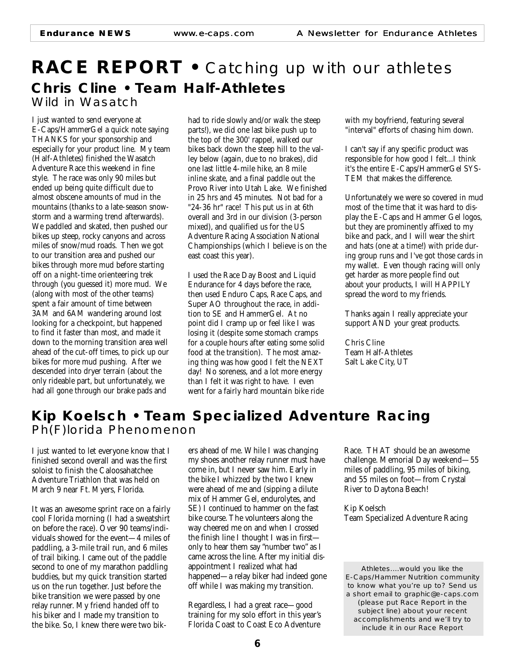### **RACE REPORT •** Catching up with our athletes **Chris Cline • Team Half-Athletes** Wild in Wasatch

I just wanted to send everyone at E-Caps/HammerGel a quick note saying THANKS for your sponsorship and especially for your product line. My team (Half-Athletes) finished the Wasatch Adventure Race this weekend in fine style. The race was only 90 miles but ended up being quite difficult due to almost obscene amounts of mud in the mountains (thanks to a late-season snowstorm and a warming trend afterwards). We paddled and skated, then pushed our bikes up steep, rocky canyons and across miles of snow/mud roads. Then we got to our transition area and pushed our bikes through more mud before starting off on a night-time orienteering trek through (you guessed it) more mud. We (along with most of the other teams) spent a fair amount of time between 3AM and 6AM wandering around lost looking for a checkpoint, but happened to find it faster than most, and made it down to the morning transition area well ahead of the cut-off times, to pick up our bikes for more mud pushing. After we descended into dryer terrain (about the only rideable part, but unfortunately, we had all gone through our brake pads and

had to ride slowly and/or walk the steep parts!), we did one last bike push up to the top of the 300' rappel, walked our bikes back down the steep hill to the valley below (again, due to no brakes), did one last little 4-mile hike, an 8 mile inline skate, and a final paddle out the Provo River into Utah Lake. We finished in 25 hrs and 45 minutes. Not bad for a "24-36 hr" race! This put us in at 6th overall and 3rd in our division (3-person mixed), and qualified us for the US Adventure Racing Association National Championships (which I believe is on the east coast this year).

I used the Race Day Boost and Liquid Endurance for 4 days before the race, then used Enduro Caps, Race Caps, and Super AO throughout the race, in addition to SE and HammerGel. At no point did I cramp up or feel like I was losing it (despite some stomach cramps for a couple hours after eating some solid food at the transition). The most amazing thing was how good I felt the NEXT day! No soreness, and a lot more energy than I felt it was right to have. I even went for a fairly hard mountain bike ride

with my boyfriend, featuring several "interval" efforts of chasing him down.

I can't say if any specific product was responsible for how good I felt...I think it's the entire E-Caps/HammerGel SYS-TEM that makes the difference.

Unfortunately we were so covered in mud most of the time that it was hard to display the E-Caps and Hammer Gel logos, but they are prominently affixed to my bike and pack, and I will wear the shirt and hats (one at a time!) with pride during group runs and I've got those cards in my wallet. Even though racing will only get harder as more people find out about your products, I will HAPPILY spread the word to my friends.

Thanks again I really appreciate your support AND your great products.

Chris Cline Team Half-Athletes Salt Lake City, UT

### **Kip Koelsch • Team Specialized Adventure Racing** Ph(F)lorida Phenomenon

I just wanted to let everyone know that I finished second overall and was the first soloist to finish the Caloosahatchee Adventure Triathlon that was held on March 9 near Ft. Myers, Florida.

It was an awesome sprint race on a fairly cool Florida morning (I had a sweatshirt on before the race). Over 90 teams/individuals showed for the event—4 miles of paddling, a 3-mile trail run, and 6 miles of trail biking. I came out of the paddle second to one of my marathon paddling buddies, but my quick transition started us on the run together. Just before the bike transition we were passed by one relay runner. My friend handed off to his biker and I made my transition to the bike. So, I knew there were two bik-

ers ahead of me. While I was changing my shoes another relay runner must have come in, but I never saw him. Early in the bike I whizzed by the two I knew were ahead of me and (sipping a dilute mix of Hammer Gel, endurolytes, and SE) I continued to hammer on the fast bike course. The volunteers along the way cheered me on and when I crossed the finish line I thought I was in first only to hear them say "number two" as I came across the line. After my initial disappointment I realized what had happened—a relay biker had indeed gone off while I was making my transition.

Regardless, I had a great race—good training for my solo effort in this year's Florida Coast to Coast Eco Adventure

Race. THAT should be an awesome challenge. Memorial Day weekend—55 miles of paddling, 95 miles of biking, and 55 miles on foot—from Crystal River to Daytona Beach!

Kip Koelsch Team Specialized Adventure Racing

Athletes....would you like the E-Caps/Hammer Nutrition community to know what you're up to? Send us a short email to graphic@e-caps.com *(please put Race Report in the subject line)* about your recent accomplishments and we'll try to include it in our Race Report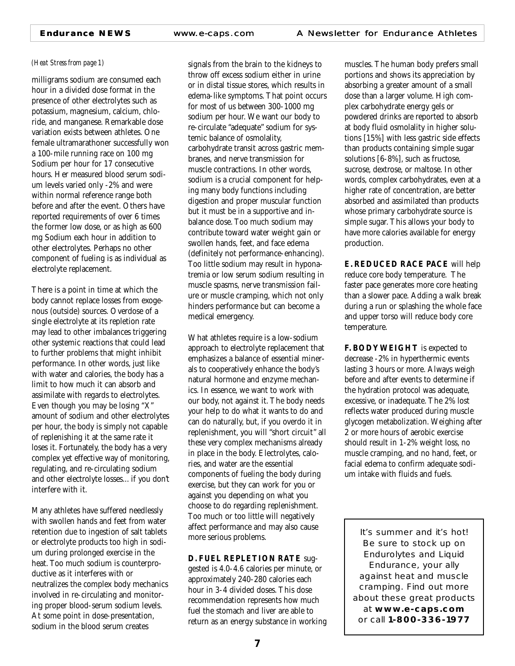#### *(Heat Stress from page 1)*

milligrams sodium are consumed each hour in a divided dose format in the presence of other electrolytes such as potassium, magnesium, calcium, chloride, and manganese. Remarkable dose variation exists between athletes. One female ultramarathoner successfully won a 100-mile running race on 100 mg Sodium per hour for 17 consecutive hours. Her measured blood serum sodium levels varied only -2% and were within normal reference range both before and after the event. Others have reported requirements of over 6 times the former low dose, or as high as 600 mg Sodium each hour in addition to other electrolytes. Perhaps no other component of fueling is as individual as electrolyte replacement.

There is a point in time at which the body cannot replace losses from exogenous (outside) sources. Overdose of a single electrolyte at its repletion rate may lead to other imbalances triggering other systemic reactions that could lead to further problems that might inhibit performance. In other words, just like with water and calories, the body has a limit to how much it can absorb and assimilate with regards to electrolytes. Even though you may be losing "X" amount of sodium and other electrolytes per hour, the body is simply not capable of replenishing it at the same rate it loses it. Fortunately, the body has a very complex yet effective way of monitoring, regulating, and re-circulating sodium and other electrolyte losses... if you don't interfere with it.

Many athletes have suffered needlessly with swollen hands and feet from water retention due to ingestion of salt tablets or electrolyte products too high in sodium during prolonged exercise in the heat. Too much sodium is counterproductive as it interferes with or neutralizes the complex body mechanics involved in re-circulating and monitoring proper blood-serum sodium levels. At some point in dose-presentation, sodium in the blood serum creates

signals from the brain to the kidneys to throw off excess sodium either in urine or in distal tissue stores, which results in edema-like symptoms. That point occurs for most of us between 300-1000 mg sodium per hour. We want our body to re-circulate "adequate" sodium for systemic balance of osmolality, carbohydrate transit across gastric membranes, and nerve transmission for muscle contractions. In other words, sodium is a crucial component for helping many body functions including digestion and proper muscular function but it must be in a supportive and inbalance dose. Too much sodium may contribute toward water weight gain or swollen hands, feet, and face edema (definitely not performance-enhancing). Too little sodium may result in hyponatremia or low serum sodium resulting in muscle spasms, nerve transmission failure or muscle cramping, which not only hinders performance but can become a medical emergency.

What athletes require is a low-sodium approach to electrolyte replacement that emphasizes a balance of essential minerals to cooperatively enhance the body's natural hormone and enzyme mechanics. In essence, we want to work with our body, not against it. The body needs your help to do what it wants to do and can do naturally, but, if you overdo it in replenishment, you will "short circuit" all these very complex mechanisms already in place in the body. Electrolytes, calories, and water are the essential components of fueling the body during exercise, but they can work for you or against you depending on what you choose to do regarding replenishment. Too much or too little will negatively affect performance and may also cause more serious problems.

#### **D. FUEL REPLETION RATE** sug-

gested is 4.0-4.6 calories per minute, or approximately 240-280 calories each hour in 3-4 divided doses. This dose recommendation represents how much fuel the stomach and liver are able to return as an energy substance in working

muscles. The human body prefers small portions and shows its appreciation by absorbing a greater amount of a small dose than a larger volume. High complex carbohydrate energy gels or powdered drinks are reported to absorb at body fluid osmolality in higher solutions [15%] with less gastric side effects than products containing simple sugar solutions [6-8%], such as fructose, sucrose, dextrose, or maltose. In other words, complex carbohydrates, even at a higher rate of concentration, are better absorbed and assimilated than products whose primary carbohydrate source is simple sugar. This allows your body to have more calories available for energy production.

**E. REDUCED RACE PACE** will help reduce core body temperature. The faster pace generates more core heating than a slower pace. Adding a walk break during a run or splashing the whole face and upper torso will reduce body core temperature.

**F. BODY WEIGHT** is expected to decrease -2% in hyperthermic events lasting 3 hours or more. Always weigh before and after events to determine if the hydration protocol was adequate, excessive, or inadequate. The 2% lost reflects water produced during muscle glycogen metabolization. Weighing after 2 or more hours of aerobic exercise should result in 1-2% weight loss, no muscle cramping, and no hand, feet, or facial edema to confirm adequate sodium intake with fluids and fuels.

It's summer and it's hot! Be sure to stock up on Endurolytes and Liquid Endurance, your ally against heat and muscle cramping. Find out more about these great products at **www.e-caps.com** or call **1-800-336-1977**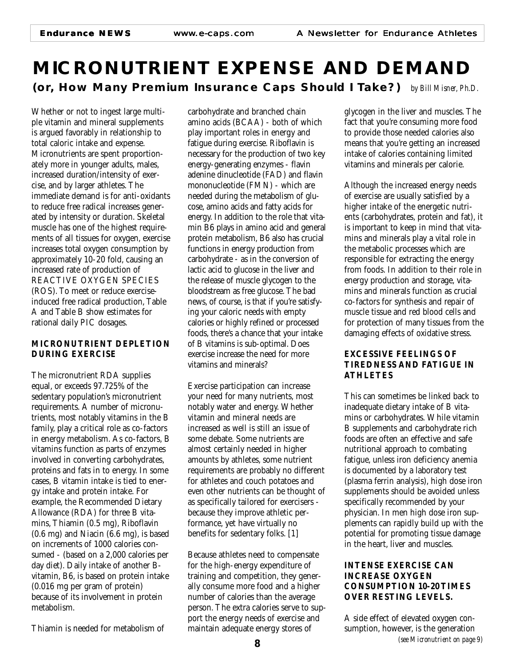### **MICRONUTRIENT EXPENSE AND DEMAND (or, How Many Premium Insurance Caps Should I Take?)** *by Bill Misner, Ph.D.*

Whether or not to ingest large multiple vitamin and mineral supplements is argued favorably in relationship to total caloric intake and expense. Micronutrients are spent proportionately more in younger adults, males, increased duration/intensity of exercise, and by larger athletes. The immediate demand is for anti-oxidants to reduce free radical increases generated by intensity or duration. Skeletal muscle has one of the highest requirements of all tissues for oxygen, exercise increases total oxygen consumption by approximately 10-20 fold, causing an increased rate of production of REACTIVE OXYGEN SPECIES (ROS). To meet or reduce exerciseinduced free radical production, Table A and Table B show estimates for rational daily PIC dosages.

### **MICRONUTRIENT DEPLETION DURING EXERCISE**

The micronutrient RDA supplies equal, or exceeds 97.725% of the sedentary population's micronutrient requirements. A number of micronutrients, most notably vitamins in the B family, play a critical role as co-factors in energy metabolism. As co-factors, B vitamins function as parts of enzymes involved in converting carbohydrates, proteins and fats in to energy. In some cases, B vitamin intake is tied to energy intake and protein intake. For example, the Recommended Dietary Allowance (RDA) for three B vitamins, Thiamin (0.5 mg), Riboflavin (0.6 mg) and Niacin (6.6 mg), is based on increments of 1000 calories consumed - (based on a 2,000 calories per day diet). Daily intake of another Bvitamin, B6, is based on protein intake (0.016 mg per gram of protein) because of its involvement in protein metabolism.

Thiamin is needed for metabolism of

carbohydrate and branched chain amino acids (BCAA) - both of which play important roles in energy and fatigue during exercise. Riboflavin is necessary for the production of two key energy-generating enzymes - flavin adenine dinucleotide (FAD) and flavin mononucleotide (FMN) - which are needed during the metabolism of glucose, amino acids and fatty acids for energy. In addition to the role that vitamin B6 plays in amino acid and general protein metabolism, B6 also has crucial functions in energy production from carbohydrate - as in the conversion of lactic acid to glucose in the liver and the release of muscle glycogen to the bloodstream as free glucose. The bad news, of course, is that if you're satisfying your caloric needs with empty calories or highly refined or processed foods, there's a chance that your intake of B vitamins is sub-optimal. Does exercise increase the need for more vitamins and minerals?

Exercise participation can increase your need for many nutrients, most notably water and energy. Whether vitamin and mineral needs are increased as well is still an issue of some debate. Some nutrients are almost certainly needed in higher amounts by athletes, some nutrient requirements are probably no different for athletes and couch potatoes and even other nutrients can be thought of as specifically tailored for exercisers because they improve athletic performance, yet have virtually no benefits for sedentary folks. [1]

Because athletes need to compensate for the high-energy expenditure of training and competition, they generally consume more food and a higher number of calories than the average person. The extra calories serve to support the energy needs of exercise and maintain adequate energy stores of

glycogen in the liver and muscles. The fact that you're consuming more food to provide those needed calories also means that you're getting an increased intake of calories containing limited vitamins and minerals per calorie.

Although the increased energy needs of exercise are usually satisfied by a higher intake of the energetic nutrients (carbohydrates, protein and fat), it is important to keep in mind that vitamins and minerals play a vital role in the metabolic processes which are responsible for extracting the energy from foods. In addition to their role in energy production and storage, vitamins and minerals function as crucial co-factors for synthesis and repair of muscle tissue and red blood cells and for protection of many tissues from the damaging effects of oxidative stress.

### **EXCESSIVE FEELINGS OF TIREDNESS AND FATIGUE IN ATHLETES**

This can sometimes be linked back to inadequate dietary intake of B vitamins or carbohydrates. While vitamin B supplements and carbohydrate rich foods are often an effective and safe nutritional approach to combating fatigue, unless iron deficiency anemia is documented by a laboratory test (plasma ferrin analysis), high dose iron supplements should be avoided unless specifically recommended by your physician. In men high dose iron supplements can rapidly build up with the potential for promoting tissue damage in the heart, liver and muscles.

### **INTENSE EXERCISE CAN INCREASE OXYGEN CONSUMPTION 10-20 TIMES OVER RESTING LEVELS.**

*(see Micronutrient on page 9)* A side effect of elevated oxygen consumption, however, is the generation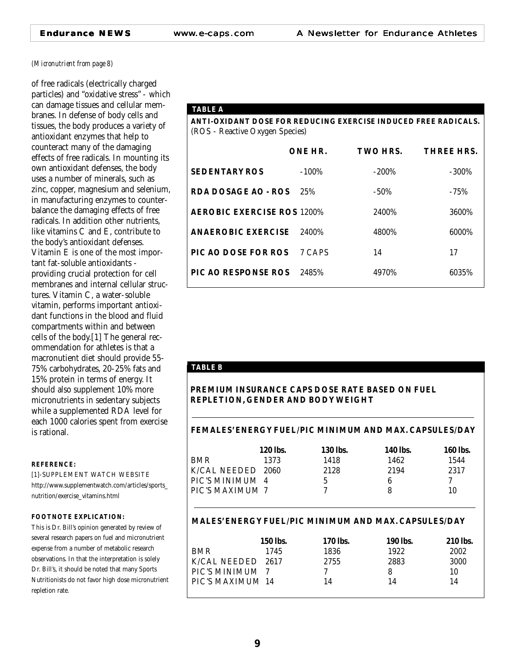#### *(Micronutrient from page 8)*

of free radicals (electrically charged particles) and "oxidative stress" - which can damage tissues and cellular membranes. In defense of body cells and tissues, the body produces a variety of antioxidant enzymes that help to counteract many of the damaging effects of free radicals. In mounting its own antioxidant defenses, the body uses a number of minerals, such as zinc, copper, magnesium and selenium, in manufacturing enzymes to counterbalance the damaging effects of free radicals. In addition other nutrients, like vitamins C and E, contribute to the body's antioxidant defenses. Vitamin E is one of the most important fat-soluble antioxidants providing crucial protection for cell membranes and internal cellular structures. Vitamin C, a water-soluble vitamin, performs important antioxidant functions in the blood and fluid compartments within and between cells of the body.[1] The general recommendation for athletes is that a macronutient diet should provide 55- 75% carbohydrates, 20-25% fats and 15% protein in terms of energy. It should also supplement 10% more micronutrients in sedentary subjects while a supplemented RDA level for each 1000 calories spent from exercise is rational.

#### **REFERENCE:**

[1]-SUPPLEMENT WATCH WEBSITE http://www.supplementwatch.com/articles/sports\_ nutrition/exercise\_vitamins.html

#### **FOOTNOTE EXPLICATION:**

This is Dr. Bill's opinion generated by review of several research papers on fuel and micronutrient expense from a number of metabolic research observations. In that the interpretation is solely Dr. Bill's, it should be noted that many Sports Nutritionists do not favor high dose micronutrient repletion rate.

| <b>TABLE A</b>                                                 |          |          |            |  |
|----------------------------------------------------------------|----------|----------|------------|--|
| ANTI-OXIDANT DOSE FOR REDUCING EXERCISE INDUCED FREE RADICALS. |          |          |            |  |
| (ROS - Reactive Oxygen Species)                                |          |          |            |  |
|                                                                |          |          |            |  |
|                                                                | ONE HR.  | TWO HRS. | THREE HRS. |  |
| <b>SEDENTARY ROS</b>                                           | $-100\%$ | $-200\%$ | -300%      |  |
| <b>RDA DOSAGE AO - ROS</b>                                     | 2.5%     | -50%     | $-75%$     |  |
| <b>AEROBIC EXERCISE ROS 1200%</b>                              |          | 2400%    | 3600%      |  |
| <b>ANAEROBIC EXERCISE</b>                                      | 2400%    | 4800%    | 6000%      |  |
| <b>PIC AO DOSE FOR ROS</b>                                     | 7 CAPS   | 14       | 17         |  |
| <b>PIC AO RESPONSE ROS</b>                                     | 2485%    | 4970%    | 6035%      |  |

#### **TABLE B**

#### **PREMIUM INSURANCE CAPS DOSE RATE BASED ON FUEL REPLETION, GENDER AND BODY WEIGHT**

#### **FEMALES' ENERGY FUEL/PIC MINIMUM AND MAX. CAPSULES/DAY**

|                        |      |      | <b>160 lbs.</b> |
|------------------------|------|------|-----------------|
| <b>BMR</b><br>1373     | 1418 | 1462 | 1544            |
| K/CAL NEEDED 2060      | 2128 | 2194 | 2317            |
| PIC'S MINIMUM 4        | G    |      |                 |
| <b>PIC'S MAXIMUM 7</b> |      |      | 10              |

#### **MALES' ENERGY FUEL/PIC MINIMUM AND MAX. CAPSULES/DAY**

|                         | <b>150 lbs.</b> | <b>170 lbs.</b> | <b>190 lbs.</b> | <b>210</b> lbs. |
|-------------------------|-----------------|-----------------|-----------------|-----------------|
| <b>BMR</b>              | 1745            | 1836            | 1922            | 2002            |
| K/CAL NEEDED            | 2617            | 2755            | 2883            | 3000            |
| PIC'S MINIMUM 7         |                 |                 | 8               | 10              |
| <b>PIC'S MAXIMUM 14</b> |                 | 14              | 14              | 14              |
|                         |                 |                 |                 |                 |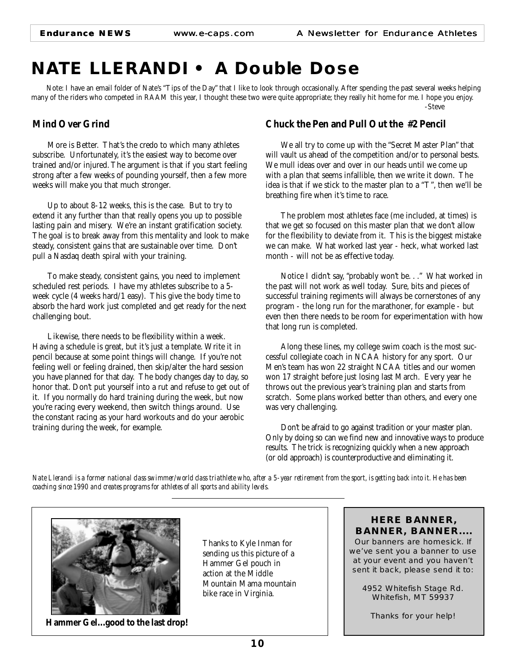### **NATE LLERANDI • A Double Dose**

Note: I have an email folder of Nate's "Tips of the Day" that I like to look through occasionally. After spending the past several weeks helping many of the riders who competed in RAAM this year, I thought these two were quite appropriate; they really hit home for me. I hope you enjoy. -Steve

### **Mind Over Grind**

More is Better. That's the credo to which many athletes subscribe. Unfortunately, it's the easiest way to become over trained and/or injured. The argument is that if you start feeling strong after a few weeks of pounding yourself, then a few more weeks will make you that much stronger.

Up to about 8-12 weeks, this is the case. But to try to extend it any further than that really opens you up to possible lasting pain and misery. We're an instant gratification society. The goal is to break away from this mentality and look to make steady, consistent gains that are sustainable over time. Don't pull a Nasdaq death spiral with your training.

To make steady, consistent gains, you need to implement scheduled rest periods. I have my athletes subscribe to a 5 week cycle (4 weeks hard/1 easy). This give the body time to absorb the hard work just completed and get ready for the next challenging bout.

Likewise, there needs to be flexibility within a week. Having a schedule is great, but it's just a template. Write it in pencil because at some point things will change. If you're not feeling well or feeling drained, then skip/alter the hard session you have planned for that day. The body changes day to day, so honor that. Don't put yourself into a rut and refuse to get out of it. If you normally do hard training during the week, but now you're racing every weekend, then switch things around. Use the constant racing as your hard workouts and do your aerobic training during the week, for example.

### **Chuck the Pen and Pull Out the #2 Pencil**

We all try to come up with the "Secret Master Plan" that will vault us ahead of the competition and/or to personal bests. We mull ideas over and over in our heads until we come up with a plan that seems infallible, then we write it down. The idea is that if we stick to the master plan to a "T", then we'll be breathing fire when it's time to race.

The problem most athletes face (me included, at times) is that we get so focused on this master plan that we don't allow for the flexibility to deviate from it. This is the biggest mistake we can make. What worked last year - heck, what worked last month - will not be as effective today.

Notice I didn't say, "probably won't be. . ." What worked in the past will not work as well today. Sure, bits and pieces of successful training regiments will always be cornerstones of any program - the long run for the marathoner, for example - but even then there needs to be room for experimentation with how that long run is completed.

Along these lines, my college swim coach is the most successful collegiate coach in NCAA history for any sport. Our Men's team has won 22 straight NCAA titles and our women won 17 straight before just losing last March. Every year he throws out the previous year's training plan and starts from scratch. Some plans worked better than others, and every one was very challenging.

Don't be afraid to go against tradition or your master plan. Only by doing so can we find new and innovative ways to produce results. The trick is recognizing quickly when a new approach (or old approach) is counterproductive and eliminating it.

*Nate Llerandi is a former national class swimmer/world class triathlete who, after a 5-year retirement from the sport, is getting back into it. He has been coaching since 1990 and creates programs for athletes of all sports and ability levels.*



**Hammer Gel...good to the last drop!**

Thanks to Kyle Inman for sending us this picture of a Hammer Gel pouch in action at the Middle Mountain Mama mountain bike race in Virginia.

### **HERE BANNER, BANNER, BANNER....**

Our banners are homesick. If we've sent you a banner to use at your event and you haven't sent it back, please send it to:

4952 Whitefish Stage Rd. Whitefish, MT 59937

Thanks for your help!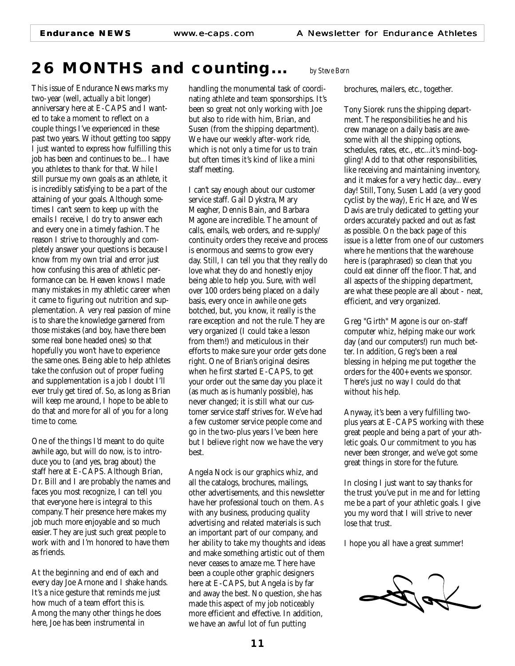### **26 MONTHS** *and counting... by Steve Born*

This issue of Endurance News marks my two-year (well, actually a bit longer) anniversary here at E-CAPS and I wanted to take a moment to reflect on a couple things I've experienced in these past two years. Without getting too sappy I just wanted to express how fulfilling this job has been and continues to be... I have you athletes to thank for that. While I still pursue my own goals as an athlete, it is incredibly satisfying to be a part of the attaining of your goals. Although sometimes I can't seem to keep up with the emails I receive, I do try to answer each and every one in a timely fashion. The reason I strive to thoroughly and completely answer your questions is because I know from my own trial and error just how confusing this area of athletic performance can be. Heaven knows I made many mistakes in my athletic career when it came to figuring out nutrition and supplementation. A very real passion of mine is to share the knowledge garnered from those mistakes (and boy, have there been some real bone headed ones) so that hopefully you won't have to experience the same ones. Being able to help athletes take the confusion out of proper fueling and supplementation is a job I doubt I'll ever truly get tired of. So, as long as Brian will keep me around, I hope to be able to do that and more for all of you for a long time to come.

One of the things I'd meant to do quite awhile ago, but will do now, is to introduce you to (and yes, brag about) the staff here at E-CAPS. Although Brian, Dr. Bill and I are probably the names and faces you most recognize, I can tell you that everyone here is integral to this company. Their presence here makes my job much more enjoyable and so much easier. They are just such great people to work with and I'm honored to have them as friends.

At the beginning and end of each and every day Joe Arnone and I shake hands. It's a nice gesture that reminds me just how much of a team effort this is. Among the many other things he does here, Joe has been instrumental in

handling the monumental task of coordinating athlete and team sponsorships. It's been so great not only working with Joe but also to ride with him, Brian, and Susen (from the shipping department). We have our weekly after-work ride, which is not only a time for us to train but often times it's kind of like a mini staff meeting.

I can't say enough about our customer service staff. Gail Dykstra, Mary Meagher, Dennis Bain, and Barbara Magone are incredible. The amount of calls, emails, web orders, and re-supply/ continuity orders they receive and process is enormous and seems to grow every day. Still, I can tell you that they really do love what they do and honestly enjoy being able to help you. Sure, with well over 100 orders being placed on a daily basis, every once in awhile one gets botched, but, you know, it really is the rare exception and not the rule. They are very organized (I could take a lesson from them!) and meticulous in their efforts to make sure your order gets done right. One of Brian's original desires when he first started E-CAPS, to get your order out the same day you place it (as much as is humanly possible), has never changed; it is still what our customer service staff strives for. We've had a few customer service people come and go in the two-plus years I've been here but I believe right now we have the very best.

Angela Nock is our graphics whiz, and all the catalogs, brochures, mailings, other advertisements, and this newsletter have her professional touch on them. As with any business, producing quality advertising and related materials is such an important part of our company, and her ability to take my thoughts and ideas and make something artistic out of them never ceases to amaze me. There have been a couple other graphic designers here at E-CAPS, but Angela is by far and away the best. No question, she has made this aspect of my job noticeably more efficient and effective. In addition, we have an awful lot of fun putting

brochures, mailers, etc., together.

Tony Siorek runs the shipping department. The responsibilities he and his crew manage on a daily basis are awesome with all the shipping options, schedules, rates, etc., etc...it's mind-boggling! Add to that other responsibilities, like receiving and maintaining inventory, and it makes for a very hectic day... every day! Still, Tony, Susen Ladd (a very good cyclist by the way), Eric Haze, and Wes Davis are truly dedicated to getting your orders accurately packed and out as fast as possible. On the back page of this issue is a letter from one of our customers where he mentions that the warehouse here is (paraphrased) so clean that you could eat dinner off the floor. That, and all aspects of the shipping department, are what these people are all about - neat, efficient, and very organized.

Greg "Girth" Magone is our on-staff computer whiz, helping make our work day (and our computers!) run much better. In addition, Greg's been a real blessing in helping me put together the orders for the 400+ events we sponsor. There's just no way I could do that without his help.

Anyway, it's been a very fulfilling twoplus years at E-CAPS working with these great people and being a part of your athletic goals. Our commitment to you has never been stronger, and we've got some great things in store for the future.

In closing I just want to say thanks for the trust you've put in me and for letting me be a part of your athletic goals. I give you my word that I will strive to never lose that trust.

I hope you all have a great summer!